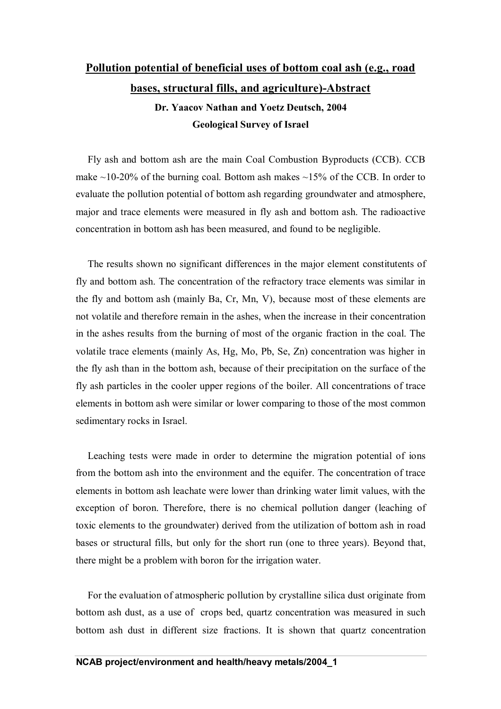## **Pollution potential of beneficial uses of bottom coal ash (e.g., road bases, structural fills, and agriculture)-Abstract**

**Dr. Yaacov Nathan and Yoetz Deutsch, 2004 Geological Survey of Israel**

Fly ash and bottom ash are the main Coal Combustion Byproducts (CCB). CCB make  $\sim$ 10-20% of the burning coal. Bottom ash makes  $\sim$ 15% of the CCB. In order to evaluate the pollution potential of bottom ash regarding groundwater and atmosphere, major and trace elements were measured in fly ash and bottom ash. The radioactive concentration in bottom ash has been measured, and found to be negligible.

The results shown no significant differences in the major element constitutents of fly and bottom ash. The concentration of the refractory trace elements was similar in the fly and bottom ash (mainly Ba, Cr, Mn, V), because most of these elements are not volatile and therefore remain in the ashes, when the increase in their concentration in the ashes results from the burning of most of the organic fraction in the coal. The volatile trace elements (mainly As, Hg, Mo, Pb, Se, Zn) concentration was higher in the fly ash than in the bottom ash, because of their precipitation on the surface of the fly ash particles in the cooler upper regions of the boiler. All concentrations of trace elements in bottom ash were similar or lower comparing to those of the most common sedimentary rocks in Israel.

Leaching tests were made in order to determine the migration potential of ions from the bottom ash into the environment and the equifer. The concentration of trace elements in bottom ash leachate were lower than drinking water limit values, with the exception of boron. Therefore, there is no chemical pollution danger (leaching of toxic elements to the groundwater) derived from the utilization of bottom ash in road bases or structural fills, but only for the short run (one to three years). Beyond that, there might be a problem with boron for the irrigation water.

For the evaluation of atmospheric pollution by crystalline silica dust originate from bottom ash dust, as a use of crops bed, quartz concentration was measured in such bottom ash dust in different size fractions. It is shown that quartz concentration